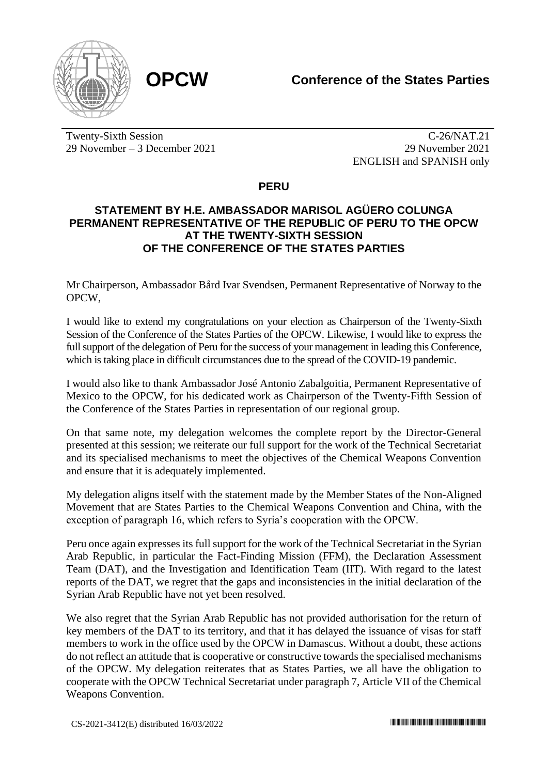

Twenty-Sixth Session 29 November – 3 December 2021

C-26/NAT.21 29 November 2021 ENGLISH and SPANISH only

**PERU**

## **STATEMENT BY H.E. AMBASSADOR MARISOL AGÜERO COLUNGA PERMANENT REPRESENTATIVE OF THE REPUBLIC OF PERU TO THE OPCW AT THE TWENTY-SIXTH SESSION OF THE CONFERENCE OF THE STATES PARTIES**

Mr Chairperson, Ambassador Bård Ivar Svendsen, Permanent Representative of Norway to the OPCW,

I would like to extend my congratulations on your election as Chairperson of the Twenty-Sixth Session of the Conference of the States Parties of the OPCW. Likewise, I would like to express the full support of the delegation of Peru for the success of your management in leading this Conference, which is taking place in difficult circumstances due to the spread of the COVID-19 pandemic.

I would also like to thank Ambassador José Antonio Zabalgoitia, Permanent Representative of Mexico to the OPCW, for his dedicated work as Chairperson of the Twenty-Fifth Session of the Conference of the States Parties in representation of our regional group.

On that same note, my delegation welcomes the complete report by the Director-General presented at this session; we reiterate our full support for the work of the Technical Secretariat and its specialised mechanisms to meet the objectives of the Chemical Weapons Convention and ensure that it is adequately implemented.

My delegation aligns itself with the statement made by the Member States of the Non-Aligned Movement that are States Parties to the Chemical Weapons Convention and China, with the exception of paragraph 16, which refers to Syria's cooperation with the OPCW.

Peru once again expresses its full support for the work of the Technical Secretariat in the Syrian Arab Republic, in particular the Fact-Finding Mission (FFM), the Declaration Assessment Team (DAT), and the Investigation and Identification Team (IIT). With regard to the latest reports of the DAT, we regret that the gaps and inconsistencies in the initial declaration of the Syrian Arab Republic have not yet been resolved.

We also regret that the Syrian Arab Republic has not provided authorisation for the return of key members of the DAT to its territory, and that it has delayed the issuance of visas for staff members to work in the office used by the OPCW in Damascus. Without a doubt, these actions do not reflect an attitude that is cooperative or constructive towards the specialised mechanisms of the OPCW. My delegation reiterates that as States Parties, we all have the obligation to cooperate with the OPCW Technical Secretariat under paragraph 7, Article VII of the Chemical Weapons Convention.